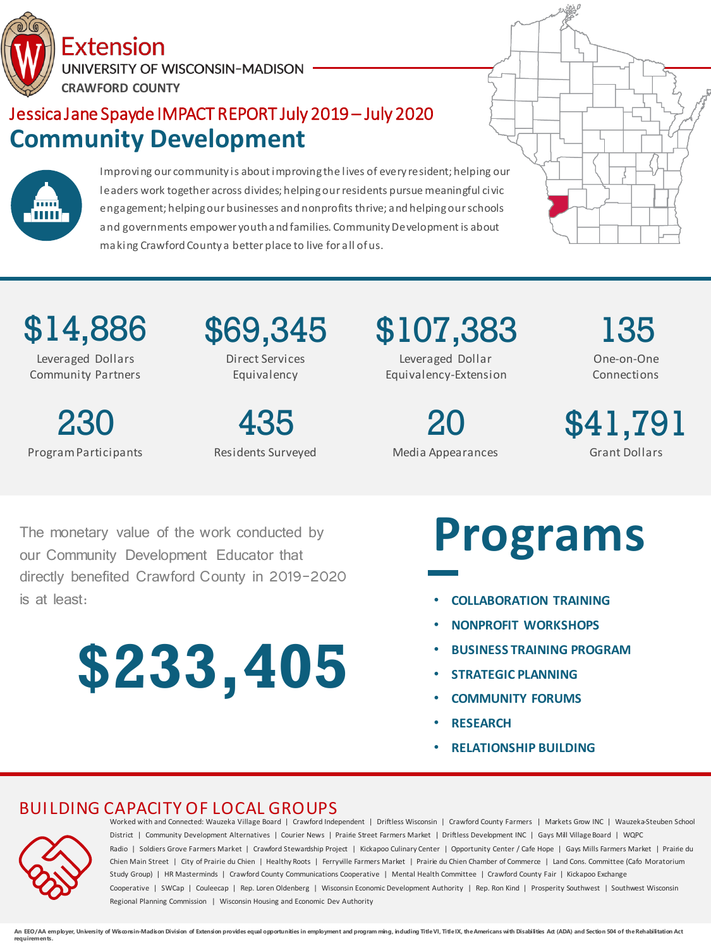Extension UNIVERSITY OF WISCONSIN-MADISON **CRAWFORD COUNTY**

## Jessica Jane Spayde IMPACT REPORT July 2019 – July 2020 **Community Development**



Improving our community is about improving the lives of every resident; helping our leaders work together across divides; helping our residents pursue meaningful civic engagement; helping our businesses and nonprofits thrive; and helping our schools and governments empower youth and families. Community Development is about making Crawford County a better place to live for all of us.



\$14,886 Leveraged Dollars

Community Partners

230 Program Participants \$69,345 Direct Services Equivalency

435 Residents Surveyed \$107,383 Leveraged Dollar Equivalency-Extension

> 20 Media Appearances

135 One-on-One Connections

\$41,791 Grant Dollars

The monetary value of the work conducted by our Community Development Educator that directly benefited Crawford County in 2019-2020 is at least:

# **\$233,405**

## **Programs**

- **COLLABORATION TRAINING**
- **NONPROFIT WORKSHOPS**
- **BUSINESS TRAINING PROGRAM**
- **STRATEGIC PLANNING**
- **COMMUNITY FORUMS**
- **RESEARCH**
- **RELATIONSHIP BUILDING**



BUILDING CAPACITY OF LOCAL GROUPS<br>Worked with and Connected: Wauzeka Village Board | Crawford Independent | Driftless Wisconsin | Crawford County Farmers | Markets Grow INC | Wauzeka-Steuben School District | Community Development Alternatives | Courier News | Prairie Street Farmers Market | Driftless Development INC | Gays Mill Village Board | WQPC Radio | Soldiers Grove Farmers Market | Crawford Stewardship Project | Kickapoo Culinary Center | Opportunity Center / Cafe Hope | Gays Mills Farmers Market | Prairie du Chien Main Street | City of Prairie du Chien | Healthy Roots | Ferryville Farmers Market | Prairie du Chien Chamber of Commerce | Land Cons. Committee (Cafo Moratorium Study Group) | HR Masterminds | Crawford County Communications Cooperative | Mental Health Committee | Crawford County Fair | Kickapoo Exchange Cooperative | SWCap | Couleecap | Rep. Loren Oldenberg | Wisconsin Economic Development Authority | Rep. Ron Kind | Prosperity Southwest | Southwest Wisconsin Regional Planning Commission | Wisconsin Housing and Economic Dev Authority